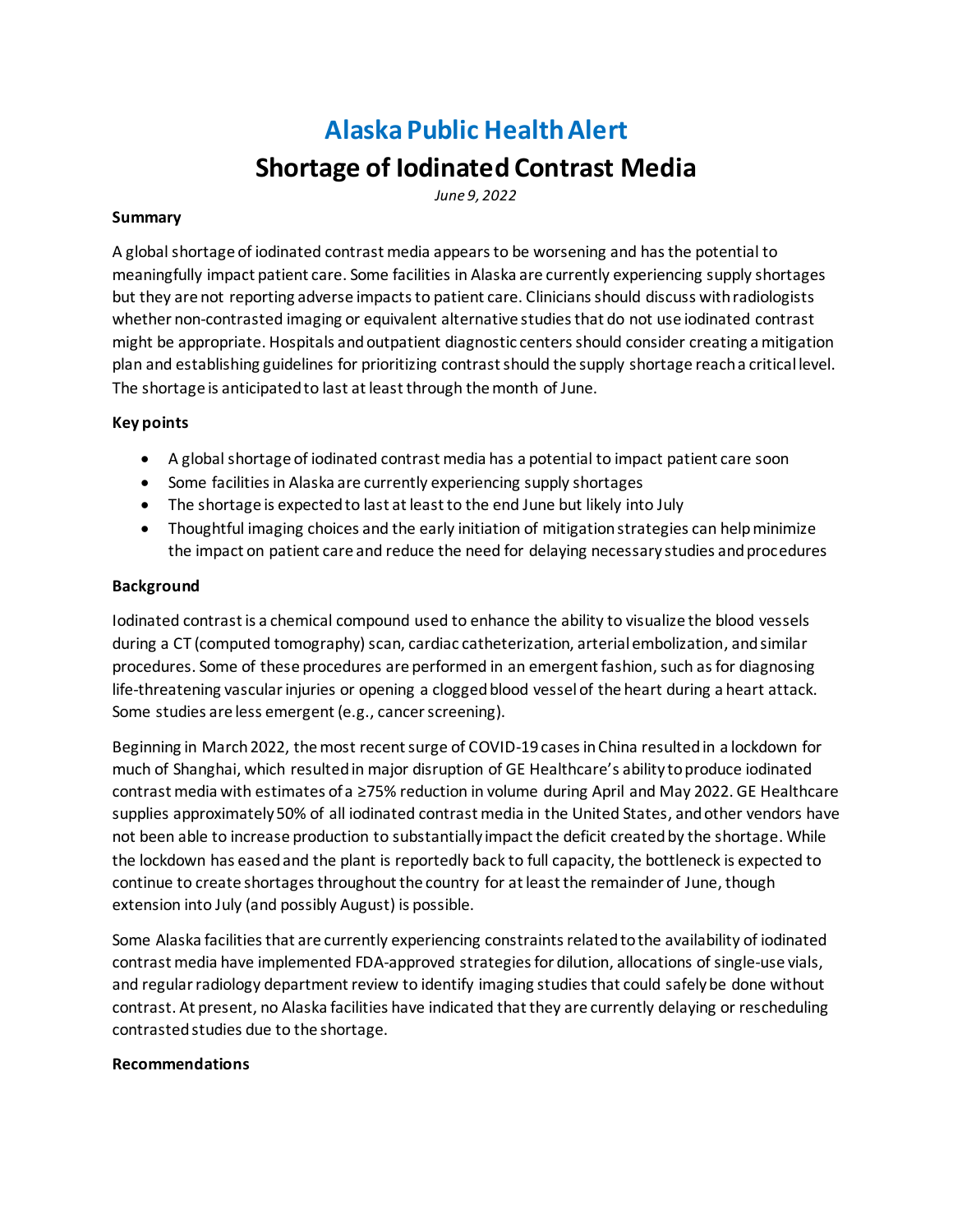# **Alaska Public Health Alert**

## **Shortage of Iodinated Contrast Media**

*June 9, 2022*

#### **Summary**

A global shortage of iodinated contrast media appears to be worsening and has the potential to meaningfully impact patient care. Some facilities in Alaska are currently experiencing supply shortages but they are not reporting adverse impacts to patient care. Cliniciansshould discuss with radiologists whether non-contrasted imaging or equivalent alternative studies that do not use iodinated contrast might be appropriate. Hospitals and outpatient diagnostic centers should consider creating a mitigation plan and establishing guidelines for prioritizing contrast should the supply shortage reach a critical level. The shortage is anticipated to last at least through the month of June.

### **Key points**

- A global shortage of iodinated contrast media has a potential to impact patient care soon
- Some facilities in Alaska are currently experiencing supply shortages
- The shortage is expected to last at least to the end June but likely into July
- Thoughtful imaging choices and the early initiation of mitigation strategies can help minimize the impact on patient care and reduce the need for delaying necessary studies and procedures

#### **Background**

Iodinated contrast is a chemical compound used to enhance the ability to visualize the blood vessels during a CT (computed tomography) scan, cardiac catheterization, arterial embolization, and similar procedures. Some of these procedures are performed in an emergent fashion, such as for diagnosing life-threatening vascular injuries or opening a clogged blood vessel of the heart during a heart attack. Some studies are less emergent (e.g., cancer screening).

Beginning in March 2022, the most recent surge of COVID-19 cases in China resulted in a lockdown for much of Shanghai, which resultedin major disruption of GE Healthcare's ability to produce iodinated contrast media with estimates of a ≥75% reduction in volume during April and May 2022. GE Healthcare supplies approximately 50% of all iodinated contrast media in the United States, and other vendors have not been able to increase production to substantially impact the deficit created by the shortage. While the lockdown has eased and the plant is reportedly back to full capacity, the bottleneck is expected to continue to create shortages throughout the country for at least the remainder of June, though extension into July (and possibly August) is possible.

Some Alaska facilities that are currently experiencing constraints related to the availability of iodinated contrast media have implemented FDA-approved strategies for dilution, allocations of single-use vials, and regular radiology department review to identify imaging studies that could safely be done without contrast. At present, no Alaska facilities have indicated that they are currently delaying or rescheduling contrasted studies due to the shortage.

#### **Recommendations**